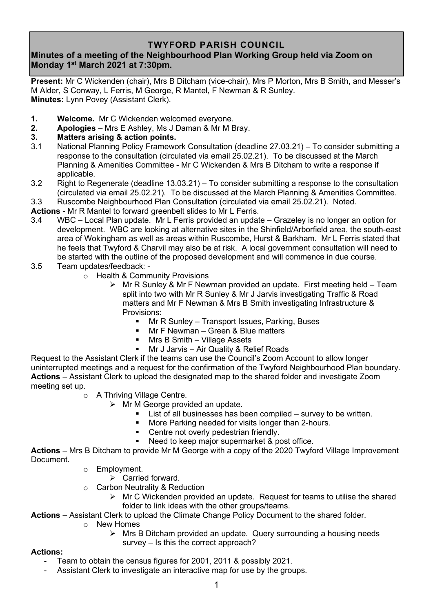## **TWYFORD PARISH COUNCIL**

# **Minutes of a meeting of the Neighbourhood Plan Working Group held via Zoom on Monday 1 st March 2021 at 7:30pm.**

**Present:** Mr C Wickenden (chair), Mrs B Ditcham (vice-chair), Mrs P Morton, Mrs B Smith, and Messer's M Alder, S Conway, L Ferris, M George, R Mantel, F Newman & R Sunley. **Minutes:** Lynn Povey (Assistant Clerk).

- **1. Welcome.** Mr C Wickenden welcomed everyone.
- **2. Apologies** Mrs E Ashley, Ms J Daman & Mr M Bray.

## **3. Matters arising & action points.**

- 3.1 National Planning Policy Framework Consultation (deadline 27.03.21) To consider submitting a response to the consultation (circulated via email 25.02.21). To be discussed at the March Planning & Amenities Committee - Mr C Wickenden & Mrs B Ditcham to write a response if applicable.
- 3.2 Right to Regenerate (deadline 13.03.21) To consider submitting a response to the consultation (circulated via email 25.02.21). To be discussed at the March Planning & Amenities Committee.

3.3 Ruscombe Neighbourhood Plan Consultation (circulated via email 25.02.21). Noted.

**Actions** - Mr R Mantel to forward greenbelt slides to Mr L Ferris.

- 3.4 WBC Local Plan update. Mr L Ferris provided an update Grazeley is no longer an option for development. WBC are looking at alternative sites in the Shinfield/Arborfield area, the south-east area of Wokingham as well as areas within Ruscombe, Hurst & Barkham. Mr L Ferris stated that he feels that Twyford & Charvil may also be at risk. A local government consultation will need to be started with the outline of the proposed development and will commence in due course.
- 3.5 Team updates/feedback:
	- o Health & Community Provisions
		- ➢ Mr R Sunley & Mr F Newman provided an update. First meeting held Team split into two with Mr R Sunley & Mr J Jarvis investigating Traffic & Road matters and Mr F Newman & Mrs B Smith investigating Infrastructure & Provisions:
			- Mr R Sunley Transport Issues, Parking, Buses
			- **■** Mr F Newman Green & Blue matters
			- **■** Mrs B Smith Village Assets
			- **■** Mr J Jarvis Air Quality & Relief Roads

Request to the Assistant Clerk if the teams can use the Council's Zoom Account to allow longer uninterrupted meetings and a request for the confirmation of the Twyford Neighbourhood Plan boundary. **Actions** – Assistant Clerk to upload the designated map to the shared folder and investigate Zoom meeting set up.

- o A Thriving Village Centre.
	- $\triangleright$  Mr M George provided an update.
		- List of all businesses has been compiled  $-$  survey to be written.
		- More Parking needed for visits longer than 2-hours.
		- Centre not overly pedestrian friendly.
		- Need to keep major supermarket & post office.

**Actions** – Mrs B Ditcham to provide Mr M George with a copy of the 2020 Twyford Village Improvement Document.

- o Employment.
	- $\triangleright$  Carried forward.
- o Carbon Neutrality & Reduction
	- $\triangleright$  Mr C Wickenden provided an update. Request for teams to utilise the shared folder to link ideas with the other groups/teams.

**Actions** – Assistant Clerk to upload the Climate Change Policy Document to the shared folder.

- o New Homes
	- ➢ Mrs B Ditcham provided an update. Query surrounding a housing needs survey – Is this the correct approach?

#### **Actions:**

- Team to obtain the census figures for 2001, 2011 & possibly 2021.
- Assistant Clerk to investigate an interactive map for use by the groups.